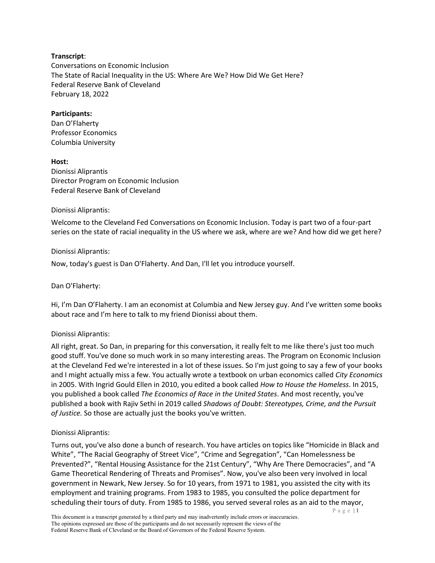## **Transcript**:

Conversations on Economic Inclusion The State of Racial Inequality in the US: Where Are We? How Did We Get Here? Federal Reserve Bank of Cleveland February 18, 2022

## **Participants:**

Dan O'Flaherty Professor Economics Columbia University

## **Host:**

Dionissi Aliprantis Director Program on Economic Inclusion Federal Reserve Bank of Cleveland

## Dionissi Aliprantis:

Welcome to the Cleveland Fed Conversations on Economic Inclusion. Today is part two of a four-part series on the state of racial inequality in the US where we ask, where are we? And how did we get here?

## Dionissi Aliprantis:

Now, today's guest is Dan O'Flaherty. And Dan, I'll let you introduce yourself.

## Dan O'Flaherty:

Hi, I'm Dan O'Flaherty. I am an economist at Columbia and New Jersey guy. And I've written some books about race and I'm here to talk to my friend Dionissi about them.

# Dionissi Aliprantis:

All right, great. So Dan, in preparing for this conversation, it really felt to me like there's just too much good stuff. You've done so much work in so many interesting areas. The Program on Economic Inclusion at the Cleveland Fed we're interested in a lot of these issues. So I'm just going to say a few of your books and I might actually miss a few. You actually wrote a textbook on urban economics called *City Economics* in 2005. With Ingrid Gould Ellen in 2010, you edited a book called *How to House the Homeless*. In 2015, you published a book called *The Economics of Race in the United States*. And most recently, you've published a book with Rajiv Sethi in 2019 called *Shadows of Doubt: Stereotypes, Crime, and the Pursuit of Justice.* So those are actually just the books you've written.

# Dionissi Aliprantis:

Turns out, you've also done a bunch of research. You have articles on topics like "Homicide in Black and White", "The Racial Geography of Street Vice", "Crime and Segregation", "Can Homelessness be Prevented?", "Rental Housing Assistance for the 21st Century", "Why Are There Democracies", and "A Game Theoretical Rendering of Threats and Promises". Now, you've also been very involved in local government in Newark, New Jersey. So for 10 years, from 1971 to 1981, you assisted the city with its employment and training programs. From 1983 to 1985, you consulted the police department for scheduling their tours of duty. From 1985 to 1986, you served several roles as an aid to the mayor,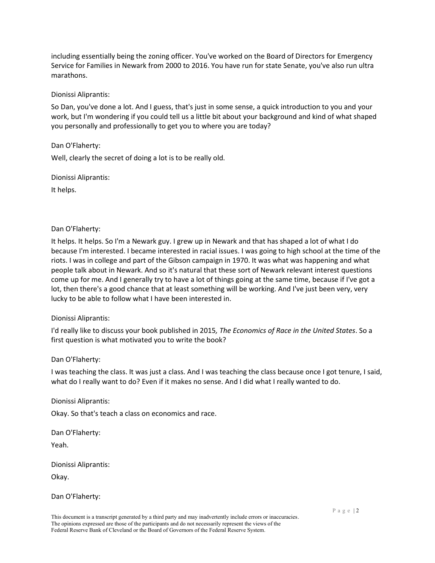including essentially being the zoning officer. You've worked on the Board of Directors for Emergency Service for Families in Newark from 2000 to 2016. You have run for state Senate, you've also run ultra marathons.

## Dionissi Aliprantis:

So Dan, you've done a lot. And I guess, that's just in some sense, a quick introduction to you and your work, but I'm wondering if you could tell us a little bit about your background and kind of what shaped you personally and professionally to get you to where you are today?

## Dan O'Flaherty:

Well, clearly the secret of doing a lot is to be really old.

Dionissi Aliprantis:

It helps.

## Dan O'Flaherty:

It helps. It helps. So I'm a Newark guy. I grew up in Newark and that has shaped a lot of what I do because I'm interested. I became interested in racial issues. I was going to high school at the time of the riots. I was in college and part of the Gibson campaign in 1970. It was what was happening and what people talk about in Newark. And so it's natural that these sort of Newark relevant interest questions come up for me. And I generally try to have a lot of things going at the same time, because if I've got a lot, then there's a good chance that at least something will be working. And I've just been very, very lucky to be able to follow what I have been interested in.

## Dionissi Aliprantis:

I'd really like to discuss your book published in 2015*, The Economics of Race in the United States*. So a first question is what motivated you to write the book?

## Dan O'Flaherty:

I was teaching the class. It was just a class. And I was teaching the class because once I got tenure, I said, what do I really want to do? Even if it makes no sense. And I did what I really wanted to do.

Dionissi Aliprantis:

Okay. So that's teach a class on economics and race.

Dan O'Flaherty:

Yeah.

Dionissi Aliprantis:

Okay.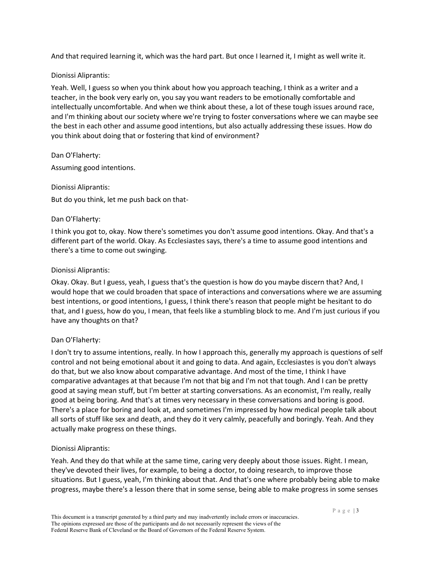And that required learning it, which was the hard part. But once I learned it, I might as well write it.

## Dionissi Aliprantis:

Yeah. Well, I guess so when you think about how you approach teaching, I think as a writer and a teacher, in the book very early on, you say you want readers to be emotionally comfortable and intellectually uncomfortable. And when we think about these, a lot of these tough issues around race, and I'm thinking about our society where we're trying to foster conversations where we can maybe see the best in each other and assume good intentions, but also actually addressing these issues. How do you think about doing that or fostering that kind of environment?

Dan O'Flaherty:

Assuming good intentions.

## Dionissi Aliprantis:

But do you think, let me push back on that-

## Dan O'Flaherty:

I think you got to, okay. Now there's sometimes you don't assume good intentions. Okay. And that's a different part of the world. Okay. As Ecclesiastes says, there's a time to assume good intentions and there's a time to come out swinging.

## Dionissi Aliprantis:

Okay. Okay. But I guess, yeah, I guess that's the question is how do you maybe discern that? And, I would hope that we could broaden that space of interactions and conversations where we are assuming best intentions, or good intentions, I guess, I think there's reason that people might be hesitant to do that, and I guess, how do you, I mean, that feels like a stumbling block to me. And I'm just curious if you have any thoughts on that?

# Dan O'Flaherty:

I don't try to assume intentions, really. In how I approach this, generally my approach is questions of self control and not being emotional about it and going to data. And again, Ecclesiastes is you don't always do that, but we also know about comparative advantage. And most of the time, I think I have comparative advantages at that because I'm not that big and I'm not that tough. And I can be pretty good at saying mean stuff, but I'm better at starting conversations. As an economist, I'm really, really good at being boring. And that's at times very necessary in these conversations and boring is good. There's a place for boring and look at, and sometimes I'm impressed by how medical people talk about all sorts of stuff like sex and death, and they do it very calmly, peacefully and boringly. Yeah. And they actually make progress on these things.

## Dionissi Aliprantis:

Yeah. And they do that while at the same time, caring very deeply about those issues. Right. I mean, they've devoted their lives, for example, to being a doctor, to doing research, to improve those situations. But I guess, yeah, I'm thinking about that. And that's one where probably being able to make progress, maybe there's a lesson there that in some sense, being able to make progress in some senses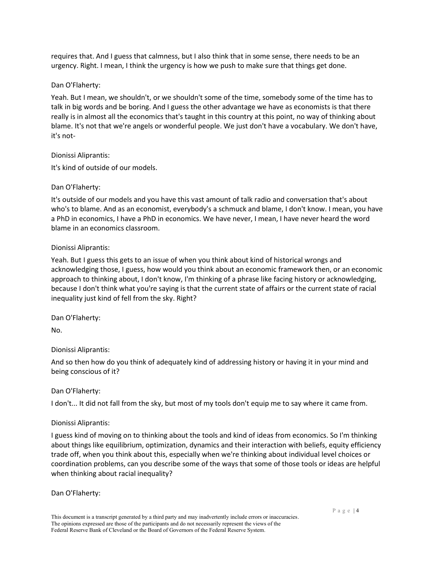requires that. And I guess that calmness, but I also think that in some sense, there needs to be an urgency. Right. I mean, I think the urgency is how we push to make sure that things get done.

## Dan O'Flaherty:

Yeah. But I mean, we shouldn't, or we shouldn't some of the time, somebody some of the time has to talk in big words and be boring. And I guess the other advantage we have as economists is that there really is in almost all the economics that's taught in this country at this point, no way of thinking about blame. It's not that we're angels or wonderful people. We just don't have a vocabulary. We don't have, it's not-

## Dionissi Aliprantis:

It's kind of outside of our models.

# Dan O'Flaherty:

It's outside of our models and you have this vast amount of talk radio and conversation that's about who's to blame. And as an economist, everybody's a schmuck and blame, I don't know. I mean, you have a PhD in economics, I have a PhD in economics. We have never, I mean, I have never heard the word blame in an economics classroom.

## Dionissi Aliprantis:

Yeah. But I guess this gets to an issue of when you think about kind of historical wrongs and acknowledging those, I guess, how would you think about an economic framework then, or an economic approach to thinking about, I don't know, I'm thinking of a phrase like facing history or acknowledging, because I don't think what you're saying is that the current state of affairs or the current state of racial inequality just kind of fell from the sky. Right?

Dan O'Flaherty:

No.

# Dionissi Aliprantis:

And so then how do you think of adequately kind of addressing history or having it in your mind and being conscious of it?

# Dan O'Flaherty:

I don't... It did not fall from the sky, but most of my tools don't equip me to say where it came from.

# Dionissi Aliprantis:

I guess kind of moving on to thinking about the tools and kind of ideas from economics. So I'm thinking about things like equilibrium, optimization, dynamics and their interaction with beliefs, equity efficiency trade off, when you think about this, especially when we're thinking about individual level choices or coordination problems, can you describe some of the ways that some of those tools or ideas are helpful when thinking about racial inequality?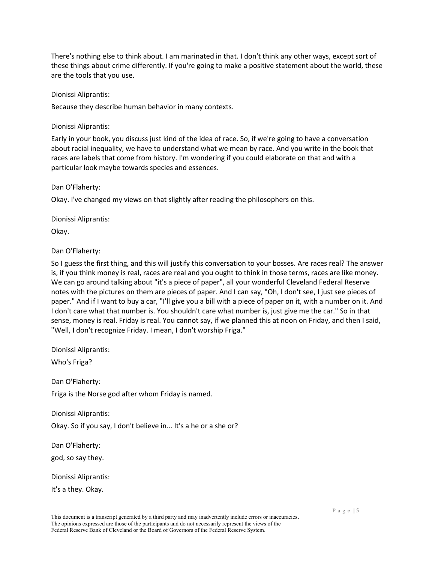There's nothing else to think about. I am marinated in that. I don't think any other ways, except sort of these things about crime differently. If you're going to make a positive statement about the world, these are the tools that you use.

Dionissi Aliprantis:

Because they describe human behavior in many contexts.

Dionissi Aliprantis:

Early in your book, you discuss just kind of the idea of race. So, if we're going to have a conversation about racial inequality, we have to understand what we mean by race. And you write in the book that races are labels that come from history. I'm wondering if you could elaborate on that and with a particular look maybe towards species and essences.

Dan O'Flaherty:

Okay. I've changed my views on that slightly after reading the philosophers on this.

Dionissi Aliprantis:

Okay.

Dan O'Flaherty:

So I guess the first thing, and this will justify this conversation to your bosses. Are races real? The answer is, if you think money is real, races are real and you ought to think in those terms, races are like money. We can go around talking about "it's a piece of paper", all your wonderful Cleveland Federal Reserve notes with the pictures on them are pieces of paper. And I can say, "Oh, I don't see, I just see pieces of paper." And if I want to buy a car, "I'll give you a bill with a piece of paper on it, with a number on it. And I don't care what that number is. You shouldn't care what number is, just give me the car." So in that sense, money is real. Friday is real. You cannot say, if we planned this at noon on Friday, and then I said, "Well, I don't recognize Friday. I mean, I don't worship Friga."

Dionissi Aliprantis:

Who's Friga?

Dan O'Flaherty: Friga is the Norse god after whom Friday is named.

Dionissi Aliprantis:

Okay. So if you say, I don't believe in... It's a he or a she or?

Dan O'Flaherty:

god, so say they.

Dionissi Aliprantis:

It's a they. Okay.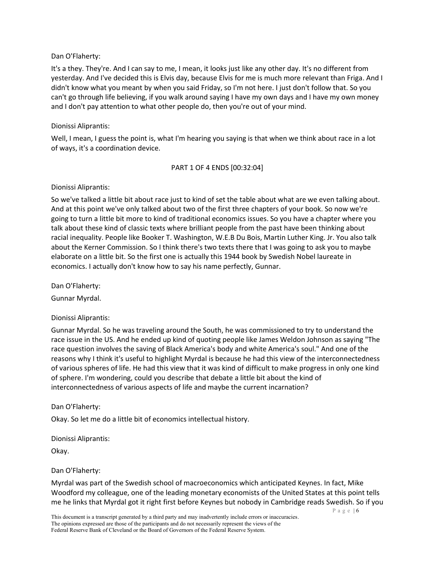It's a they. They're. And I can say to me, I mean, it looks just like any other day. It's no different from yesterday. And I've decided this is Elvis day, because Elvis for me is much more relevant than Friga. And I didn't know what you meant by when you said Friday, so I'm not here. I just don't follow that. So you can't go through life believing, if you walk around saying I have my own days and I have my own money and I don't pay attention to what other people do, then you're out of your mind.

## Dionissi Aliprantis:

Well, I mean, I guess the point is, what I'm hearing you saying is that when we think about race in a lot of ways, it's a coordination device.

## PART 1 OF 4 ENDS [00:32:04]

## Dionissi Aliprantis:

So we've talked a little bit about race just to kind of set the table about what are we even talking about. And at this point we've only talked about two of the first three chapters of your book. So now we're going to turn a little bit more to kind of traditional economics issues. So you have a chapter where you talk about these kind of classic texts where brilliant people from the past have been thinking about racial inequality. People like Booker T. Washington, W.E.B Du Bois, Martin Luther King. Jr. You also talk about the Kerner Commission. So I think there's two texts there that I was going to ask you to maybe elaborate on a little bit. So the first one is actually this 1944 book by Swedish Nobel laureate in economics. I actually don't know how to say his name perfectly, Gunnar.

Dan O'Flaherty:

Gunnar Myrdal.

# Dionissi Aliprantis:

Gunnar Myrdal. So he was traveling around the South, he was commissioned to try to understand the race issue in the US. And he ended up kind of quoting people like James Weldon Johnson as saying "The race question involves the saving of Black America's body and white America's soul." And one of the reasons why I think it's useful to highlight Myrdal is because he had this view of the interconnectedness of various spheres of life. He had this view that it was kind of difficult to make progress in only one kind of sphere. I'm wondering, could you describe that debate a little bit about the kind of interconnectedness of various aspects of life and maybe the current incarnation?

# Dan O'Flaherty:

Okay. So let me do a little bit of economics intellectual history.

Dionissi Aliprantis:

Okay.

## Dan O'Flaherty:

Myrdal was part of the Swedish school of macroeconomics which anticipated Keynes. In fact, Mike Woodford my colleague, one of the leading monetary economists of the United States at this point tells me he links that Myrdal got it right first before Keynes but nobody in Cambridge reads Swedish. So if you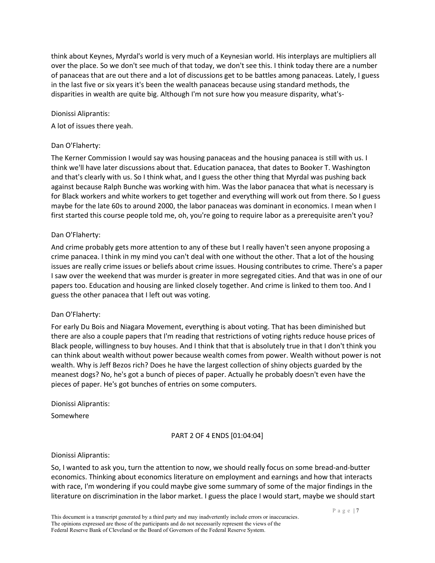think about Keynes, Myrdal's world is very much of a Keynesian world. His interplays are multipliers all over the place. So we don't see much of that today, we don't see this. I think today there are a number of panaceas that are out there and a lot of discussions get to be battles among panaceas. Lately, I guess in the last five or six years it's been the wealth panaceas because using standard methods, the disparities in wealth are quite big. Although I'm not sure how you measure disparity, what's-

### Dionissi Aliprantis:

A lot of issues there yeah.

## Dan O'Flaherty:

The Kerner Commission I would say was housing panaceas and the housing panacea is still with us. I think we'll have later discussions about that. Education panacea, that dates to Booker T. Washington and that's clearly with us. So I think what, and I guess the other thing that Myrdal was pushing back against because Ralph Bunche was working with him. Was the labor panacea that what is necessary is for Black workers and white workers to get together and everything will work out from there. So I guess maybe for the late 60s to around 2000, the labor panaceas was dominant in economics. I mean when I first started this course people told me, oh, you're going to require labor as a prerequisite aren't you?

### Dan O'Flaherty:

And crime probably gets more attention to any of these but I really haven't seen anyone proposing a crime panacea. I think in my mind you can't deal with one without the other. That a lot of the housing issues are really crime issues or beliefs about crime issues. Housing contributes to crime. There's a paper I saw over the weekend that was murder is greater in more segregated cities. And that was in one of our papers too. Education and housing are linked closely together. And crime is linked to them too. And I guess the other panacea that I left out was voting.

#### Dan O'Flaherty:

For early Du Bois and Niagara Movement, everything is about voting. That has been diminished but there are also a couple papers that I'm reading that restrictions of voting rights reduce house prices of Black people, willingness to buy houses. And I think that that is absolutely true in that I don't think you can think about wealth without power because wealth comes from power. Wealth without power is not wealth. Why is Jeff Bezos rich? Does he have the largest collection of shiny objects guarded by the meanest dogs? No, he's got a bunch of pieces of paper. Actually he probably doesn't even have the pieces of paper. He's got bunches of entries on some computers.

#### Dionissi Aliprantis:

Somewhere

## PART 2 OF 4 ENDS [01:04:04]

#### Dionissi Aliprantis:

So, I wanted to ask you, turn the attention to now, we should really focus on some bread-and-butter economics. Thinking about economics literature on employment and earnings and how that interacts with race, I'm wondering if you could maybe give some summary of some of the major findings in the literature on discrimination in the labor market. I guess the place I would start, maybe we should start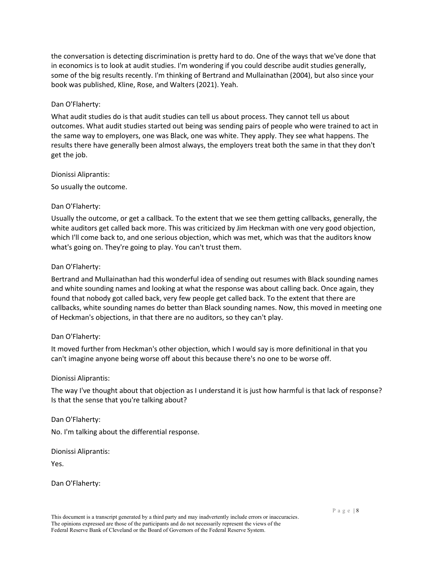the conversation is detecting discrimination is pretty hard to do. One of the ways that we've done that in economics is to look at audit studies. I'm wondering if you could describe audit studies generally, some of the big results recently. I'm thinking of Bertrand and Mullainathan (2004), but also since your book was published, Kline, Rose, and Walters (2021). Yeah.

## Dan O'Flaherty:

What audit studies do is that audit studies can tell us about process. They cannot tell us about outcomes. What audit studies started out being was sending pairs of people who were trained to act in the same way to employers, one was Black, one was white. They apply. They see what happens. The results there have generally been almost always, the employers treat both the same in that they don't get the job.

## Dionissi Aliprantis:

So usually the outcome.

## Dan O'Flaherty:

Usually the outcome, or get a callback. To the extent that we see them getting callbacks, generally, the white auditors get called back more. This was criticized by Jim Heckman with one very good objection, which I'll come back to, and one serious objection, which was met, which was that the auditors know what's going on. They're going to play. You can't trust them.

## Dan O'Flaherty:

Bertrand and Mullainathan had this wonderful idea of sending out resumes with Black sounding names and white sounding names and looking at what the response was about calling back. Once again, they found that nobody got called back, very few people get called back. To the extent that there are callbacks, white sounding names do better than Black sounding names. Now, this moved in meeting one of Heckman's objections, in that there are no auditors, so they can't play.

## Dan O'Flaherty:

It moved further from Heckman's other objection, which I would say is more definitional in that you can't imagine anyone being worse off about this because there's no one to be worse off.

## Dionissi Aliprantis:

The way I've thought about that objection as I understand it is just how harmful is that lack of response? Is that the sense that you're talking about?

Dan O'Flaherty:

No. I'm talking about the differential response.

Dionissi Aliprantis:

Yes.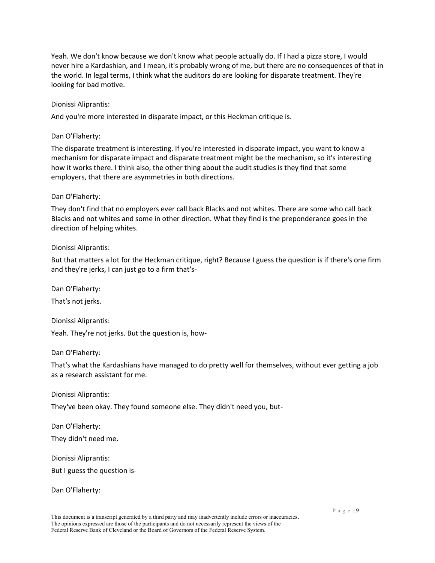Yeah. We don't know because we don't know what people actually do. If I had a pizza store, I would never hire a Kardashian, and I mean, it's probably wrong of me, but there are no consequences of that in the world. In legal terms, I think what the auditors do are looking for disparate treatment. They're looking for bad motive.

## Dionissi Aliprantis:

And you're more interested in disparate impact, or this Heckman critique is.

## Dan O'Flaherty:

The disparate treatment is interesting. If you're interested in disparate impact, you want to know a mechanism for disparate impact and disparate treatment might be the mechanism, so it's interesting how it works there. I think also, the other thing about the audit studies is they find that some employers, that there are asymmetries in both directions.

## Dan O'Flaherty:

They don't find that no employers ever call back Blacks and not whites. There are some who call back Blacks and not whites and some in other direction. What they find is the preponderance goes in the direction of helping whites.

## Dionissi Aliprantis:

But that matters a lot for the Heckman critique, right? Because I guess the question is if there's one firm and they're jerks, I can just go to a firm that's-

Dan O'Flaherty:

That's not jerks.

Dionissi Aliprantis:

Yeah. They're not jerks. But the question is, how-

Dan O'Flaherty:

That's what the Kardashians have managed to do pretty well for themselves, without ever getting a job as a research assistant for me.

Dionissi Aliprantis:

They've been okay. They found someone else. They didn't need you, but-

Dan O'Flaherty: They didn't need me.

Dionissi Aliprantis:

But I guess the question is-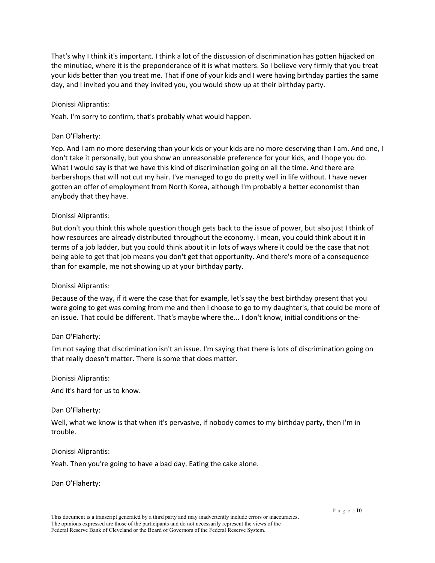That's why I think it's important. I think a lot of the discussion of discrimination has gotten hijacked on the minutiae, where it is the preponderance of it is what matters. So I believe very firmly that you treat your kids better than you treat me. That if one of your kids and I were having birthday parties the same day, and I invited you and they invited you, you would show up at their birthday party.

## Dionissi Aliprantis:

Yeah. I'm sorry to confirm, that's probably what would happen.

## Dan O'Flaherty:

Yep. And I am no more deserving than your kids or your kids are no more deserving than I am. And one, I don't take it personally, but you show an unreasonable preference for your kids, and I hope you do. What I would say is that we have this kind of discrimination going on all the time. And there are barbershops that will not cut my hair. I've managed to go do pretty well in life without. I have never gotten an offer of employment from North Korea, although I'm probably a better economist than anybody that they have.

## Dionissi Aliprantis:

But don't you think this whole question though gets back to the issue of power, but also just I think of how resources are already distributed throughout the economy. I mean, you could think about it in terms of a job ladder, but you could think about it in lots of ways where it could be the case that not being able to get that job means you don't get that opportunity. And there's more of a consequence than for example, me not showing up at your birthday party.

## Dionissi Aliprantis:

Because of the way, if it were the case that for example, let's say the best birthday present that you were going to get was coming from me and then I choose to go to my daughter's, that could be more of an issue. That could be different. That's maybe where the... I don't know, initial conditions or the-

## Dan O'Flaherty:

I'm not saying that discrimination isn't an issue. I'm saying that there is lots of discrimination going on that really doesn't matter. There is some that does matter.

## Dionissi Aliprantis:

And it's hard for us to know.

## Dan O'Flaherty:

Well, what we know is that when it's pervasive, if nobody comes to my birthday party, then I'm in trouble.

## Dionissi Aliprantis:

Yeah. Then you're going to have a bad day. Eating the cake alone.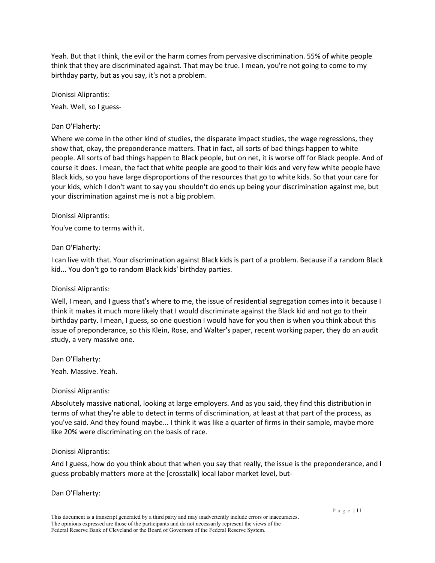Yeah. But that I think, the evil or the harm comes from pervasive discrimination. 55% of white people think that they are discriminated against. That may be true. I mean, you're not going to come to my birthday party, but as you say, it's not a problem.

Dionissi Aliprantis: Yeah. Well, so I guess-

## Dan O'Flaherty:

Where we come in the other kind of studies, the disparate impact studies, the wage regressions, they show that, okay, the preponderance matters. That in fact, all sorts of bad things happen to white people. All sorts of bad things happen to Black people, but on net, it is worse off for Black people. And of course it does. I mean, the fact that white people are good to their kids and very few white people have Black kids, so you have large disproportions of the resources that go to white kids. So that your care for your kids, which I don't want to say you shouldn't do ends up being your discrimination against me, but your discrimination against me is not a big problem.

## Dionissi Aliprantis:

You've come to terms with it.

## Dan O'Flaherty:

I can live with that. Your discrimination against Black kids is part of a problem. Because if a random Black kid... You don't go to random Black kids' birthday parties.

## Dionissi Aliprantis:

Well, I mean, and I guess that's where to me, the issue of residential segregation comes into it because I think it makes it much more likely that I would discriminate against the Black kid and not go to their birthday party. I mean, I guess, so one question I would have for you then is when you think about this issue of preponderance, so this Klein, Rose, and Walter's paper, recent working paper, they do an audit study, a very massive one.

Dan O'Flaherty:

Yeah. Massive. Yeah.

## Dionissi Aliprantis:

Absolutely massive national, looking at large employers. And as you said, they find this distribution in terms of what they're able to detect in terms of discrimination, at least at that part of the process, as you've said. And they found maybe... I think it was like a quarter of firms in their sample, maybe more like 20% were discriminating on the basis of race.

## Dionissi Aliprantis:

And I guess, how do you think about that when you say that really, the issue is the preponderance, and I guess probably matters more at the [crosstalk] local labor market level, but-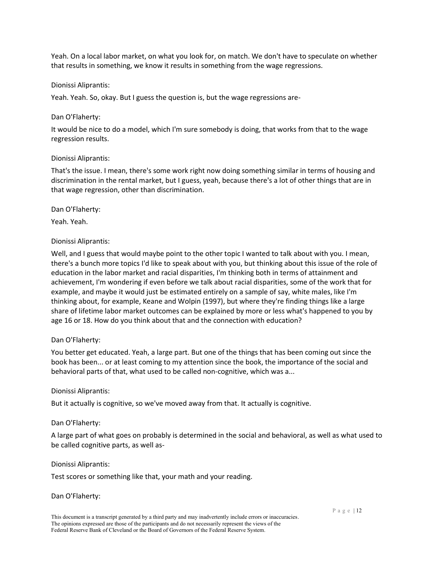Yeah. On a local labor market, on what you look for, on match. We don't have to speculate on whether that results in something, we know it results in something from the wage regressions.

## Dionissi Aliprantis:

Yeah. Yeah. So, okay. But I guess the question is, but the wage regressions are-

### Dan O'Flaherty:

It would be nice to do a model, which I'm sure somebody is doing, that works from that to the wage regression results.

## Dionissi Aliprantis:

That's the issue. I mean, there's some work right now doing something similar in terms of housing and discrimination in the rental market, but I guess, yeah, because there's a lot of other things that are in that wage regression, other than discrimination.

Dan O'Flaherty:

Yeah. Yeah.

## Dionissi Aliprantis:

Well, and I guess that would maybe point to the other topic I wanted to talk about with you. I mean, there's a bunch more topics I'd like to speak about with you, but thinking about this issue of the role of education in the labor market and racial disparities, I'm thinking both in terms of attainment and achievement, I'm wondering if even before we talk about racial disparities, some of the work that for example, and maybe it would just be estimated entirely on a sample of say, white males, like I'm thinking about, for example, Keane and Wolpin (1997), but where they're finding things like a large share of lifetime labor market outcomes can be explained by more or less what's happened to you by age 16 or 18. How do you think about that and the connection with education?

## Dan O'Flaherty:

You better get educated. Yeah, a large part. But one of the things that has been coming out since the book has been... or at least coming to my attention since the book, the importance of the social and behavioral parts of that, what used to be called non-cognitive, which was a...

## Dionissi Aliprantis:

But it actually is cognitive, so we've moved away from that. It actually is cognitive.

## Dan O'Flaherty:

A large part of what goes on probably is determined in the social and behavioral, as well as what used to be called cognitive parts, as well as-

#### Dionissi Aliprantis:

Test scores or something like that, your math and your reading.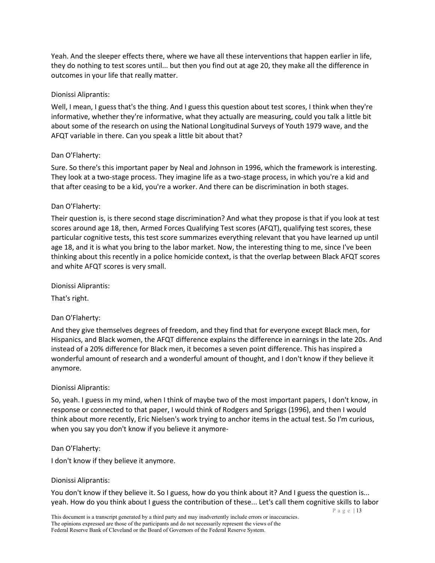Yeah. And the sleeper effects there, where we have all these interventions that happen earlier in life, they do nothing to test scores until... but then you find out at age 20, they make all the difference in outcomes in your life that really matter.

### Dionissi Aliprantis:

Well, I mean, I guess that's the thing. And I guess this question about test scores, I think when they're informative, whether they're informative, what they actually are measuring, could you talk a little bit about some of the research on using the National Longitudinal Surveys of Youth 1979 wave, and the AFQT variable in there. Can you speak a little bit about that?

### Dan O'Flaherty:

Sure. So there's this important paper by Neal and Johnson in 1996, which the framework is interesting. They look at a two-stage process. They imagine life as a two-stage process, in which you're a kid and that after ceasing to be a kid, you're a worker. And there can be discrimination in both stages.

### Dan O'Flaherty:

Their question is, is there second stage discrimination? And what they propose is that if you look at test scores around age 18, then, Armed Forces Qualifying Test scores (AFQT), qualifying test scores, these particular cognitive tests, this test score summarizes everything relevant that you have learned up until age 18, and it is what you bring to the labor market. Now, the interesting thing to me, since I've been thinking about this recently in a police homicide context, is that the overlap between Black AFQT scores and white AFQT scores is very small.

Dionissi Aliprantis:

That's right.

## Dan O'Flaherty:

And they give themselves degrees of freedom, and they find that for everyone except Black men, for Hispanics, and Black women, the AFQT difference explains the difference in earnings in the late 20s. And instead of a 20% difference for Black men, it becomes a seven point difference. This has inspired a wonderful amount of research and a wonderful amount of thought, and I don't know if they believe it anymore.

#### Dionissi Aliprantis:

So, yeah. I guess in my mind, when I think of maybe two of the most important papers, I don't know, in response or connected to that paper, I would think of Rodgers and Spriggs (1996), and then I would think about more recently, Eric Nielsen's work trying to anchor items in the actual test. So I'm curious, when you say you don't know if you believe it anymore-

### Dan O'Flaherty:

I don't know if they believe it anymore.

#### Dionissi Aliprantis:

You don't know if they believe it. So I guess, how do you think about it? And I guess the question is... yeah. How do you think about I guess the contribution of these... Let's call them cognitive skills to labor

P a g e | 13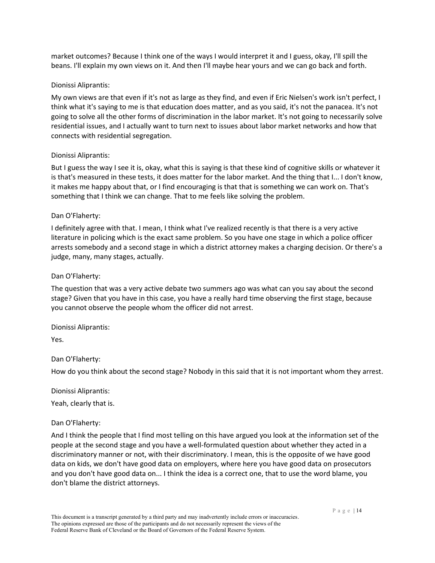market outcomes? Because I think one of the ways I would interpret it and I guess, okay, I'll spill the beans. I'll explain my own views on it. And then I'll maybe hear yours and we can go back and forth.

## Dionissi Aliprantis:

My own views are that even if it's not as large as they find, and even if Eric Nielsen's work isn't perfect, I think what it's saying to me is that education does matter, and as you said, it's not the panacea. It's not going to solve all the other forms of discrimination in the labor market. It's not going to necessarily solve residential issues, and I actually want to turn next to issues about labor market networks and how that connects with residential segregation.

### Dionissi Aliprantis:

But I guess the way I see it is, okay, what this is saying is that these kind of cognitive skills or whatever it is that's measured in these tests, it does matter for the labor market. And the thing that I... I don't know, it makes me happy about that, or I find encouraging is that that is something we can work on. That's something that I think we can change. That to me feels like solving the problem.

## Dan O'Flaherty:

I definitely agree with that. I mean, I think what I've realized recently is that there is a very active literature in policing which is the exact same problem. So you have one stage in which a police officer arrests somebody and a second stage in which a district attorney makes a charging decision. Or there's a judge, many, many stages, actually.

### Dan O'Flaherty:

The question that was a very active debate two summers ago was what can you say about the second stage? Given that you have in this case, you have a really hard time observing the first stage, because you cannot observe the people whom the officer did not arrest.

Dionissi Aliprantis:

Yes.

## Dan O'Flaherty:

How do you think about the second stage? Nobody in this said that it is not important whom they arrest.

Dionissi Aliprantis:

Yeah, clearly that is.

## Dan O'Flaherty:

And I think the people that I find most telling on this have argued you look at the information set of the people at the second stage and you have a well-formulated question about whether they acted in a discriminatory manner or not, with their discriminatory. I mean, this is the opposite of we have good data on kids, we don't have good data on employers, where here you have good data on prosecutors and you don't have good data on... I think the idea is a correct one, that to use the word blame, you don't blame the district attorneys.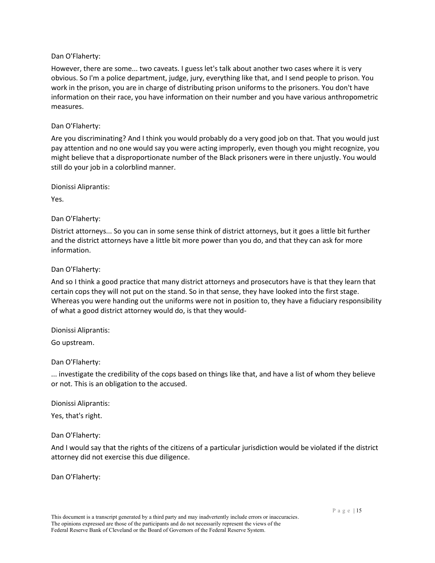However, there are some... two caveats. I guess let's talk about another two cases where it is very obvious. So I'm a police department, judge, jury, everything like that, and I send people to prison. You work in the prison, you are in charge of distributing prison uniforms to the prisoners. You don't have information on their race, you have information on their number and you have various anthropometric measures.

## Dan O'Flaherty:

Are you discriminating? And I think you would probably do a very good job on that. That you would just pay attention and no one would say you were acting improperly, even though you might recognize, you might believe that a disproportionate number of the Black prisoners were in there unjustly. You would still do your job in a colorblind manner.

Dionissi Aliprantis:

Yes.

Dan O'Flaherty:

District attorneys... So you can in some sense think of district attorneys, but it goes a little bit further and the district attorneys have a little bit more power than you do, and that they can ask for more information.

Dan O'Flaherty:

And so I think a good practice that many district attorneys and prosecutors have is that they learn that certain cops they will not put on the stand. So in that sense, they have looked into the first stage. Whereas you were handing out the uniforms were not in position to, they have a fiduciary responsibility of what a good district attorney would do, is that they would-

Dionissi Aliprantis:

Go upstream.

Dan O'Flaherty:

... investigate the credibility of the cops based on things like that, and have a list of whom they believe or not. This is an obligation to the accused.

Dionissi Aliprantis:

Yes, that's right.

Dan O'Flaherty:

And I would say that the rights of the citizens of a particular jurisdiction would be violated if the district attorney did not exercise this due diligence.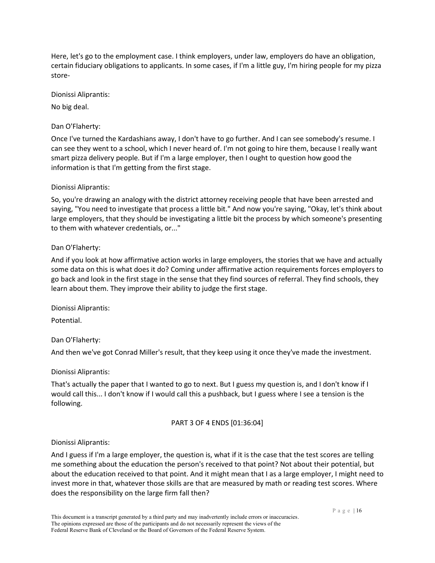Here, let's go to the employment case. I think employers, under law, employers do have an obligation, certain fiduciary obligations to applicants. In some cases, if I'm a little guy, I'm hiring people for my pizza store-

Dionissi Aliprantis:

No big deal.

Dan O'Flaherty:

Once I've turned the Kardashians away, I don't have to go further. And I can see somebody's resume. I can see they went to a school, which I never heard of. I'm not going to hire them, because I really want smart pizza delivery people. But if I'm a large employer, then I ought to question how good the information is that I'm getting from the first stage.

## Dionissi Aliprantis:

So, you're drawing an analogy with the district attorney receiving people that have been arrested and saying, "You need to investigate that process a little bit." And now you're saying, "Okay, let's think about large employers, that they should be investigating a little bit the process by which someone's presenting to them with whatever credentials, or..."

## Dan O'Flaherty:

And if you look at how affirmative action works in large employers, the stories that we have and actually some data on this is what does it do? Coming under affirmative action requirements forces employers to go back and look in the first stage in the sense that they find sources of referral. They find schools, they learn about them. They improve their ability to judge the first stage.

Dionissi Aliprantis:

Potential.

Dan O'Flaherty:

And then we've got Conrad Miller's result, that they keep using it once they've made the investment.

# Dionissi Aliprantis:

That's actually the paper that I wanted to go to next. But I guess my question is, and I don't know if I would call this... I don't know if I would call this a pushback, but I guess where I see a tension is the following.

# PART 3 OF 4 ENDS [01:36:04]

# Dionissi Aliprantis:

And I guess if I'm a large employer, the question is, what if it is the case that the test scores are telling me something about the education the person's received to that point? Not about their potential, but about the education received to that point. And it might mean that I as a large employer, I might need to invest more in that, whatever those skills are that are measured by math or reading test scores. Where does the responsibility on the large firm fall then?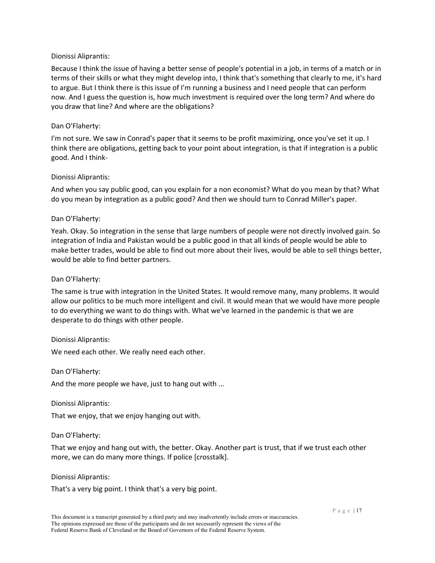## Dionissi Aliprantis:

Because I think the issue of having a better sense of people's potential in a job, in terms of a match or in terms of their skills or what they might develop into, I think that's something that clearly to me, it's hard to argue. But I think there is this issue of I'm running a business and I need people that can perform now. And I guess the question is, how much investment is required over the long term? And where do you draw that line? And where are the obligations?

## Dan O'Flaherty:

I'm not sure. We saw in Conrad's paper that it seems to be profit maximizing, once you've set it up. I think there are obligations, getting back to your point about integration, is that if integration is a public good. And I think-

## Dionissi Aliprantis:

And when you say public good, can you explain for a non economist? What do you mean by that? What do you mean by integration as a public good? And then we should turn to Conrad Miller's paper.

## Dan O'Flaherty:

Yeah. Okay. So integration in the sense that large numbers of people were not directly involved gain. So integration of India and Pakistan would be a public good in that all kinds of people would be able to make better trades, would be able to find out more about their lives, would be able to sell things better, would be able to find better partners.

## Dan O'Flaherty:

The same is true with integration in the United States. It would remove many, many problems. It would allow our politics to be much more intelligent and civil. It would mean that we would have more people to do everything we want to do things with. What we've learned in the pandemic is that we are desperate to do things with other people.

## Dionissi Aliprantis:

We need each other. We really need each other.

Dan O'Flaherty:

And the more people we have, just to hang out with ...

Dionissi Aliprantis:

That we enjoy, that we enjoy hanging out with.

Dan O'Flaherty:

That we enjoy and hang out with, the better. Okay. Another part is trust, that if we trust each other more, we can do many more things. If police [crosstalk].

## Dionissi Aliprantis:

That's a very big point. I think that's a very big point.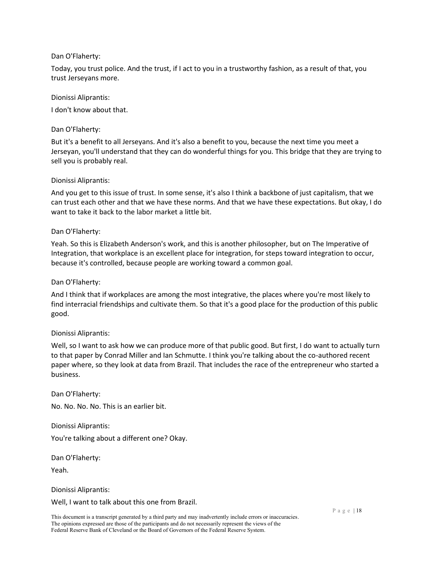Today, you trust police. And the trust, if I act to you in a trustworthy fashion, as a result of that, you trust Jerseyans more.

### Dionissi Aliprantis:

I don't know about that.

### Dan O'Flaherty:

But it's a benefit to all Jerseyans. And it's also a benefit to you, because the next time you meet a Jerseyan, you'll understand that they can do wonderful things for you. This bridge that they are trying to sell you is probably real.

### Dionissi Aliprantis:

And you get to this issue of trust. In some sense, it's also I think a backbone of just capitalism, that we can trust each other and that we have these norms. And that we have these expectations. But okay, I do want to take it back to the labor market a little bit.

### Dan O'Flaherty:

Yeah. So this is Elizabeth Anderson's work, and this is another philosopher, but on The Imperative of Integration, that workplace is an excellent place for integration, for steps toward integration to occur, because it's controlled, because people are working toward a common goal.

### Dan O'Flaherty:

And I think that if workplaces are among the most integrative, the places where you're most likely to find interracial friendships and cultivate them. So that it's a good place for the production of this public good.

#### Dionissi Aliprantis:

Well, so I want to ask how we can produce more of that public good. But first, I do want to actually turn to that paper by Conrad Miller and Ian Schmutte. I think you're talking about the co-authored recent paper where, so they look at data from Brazil. That includes the race of the entrepreneur who started a business.

Dan O'Flaherty:

No. No. No. No. This is an earlier bit.

Dionissi Aliprantis:

You're talking about a different one? Okay.

Dan O'Flaherty:

Yeah.

Dionissi Aliprantis:

Well, I want to talk about this one from Brazil.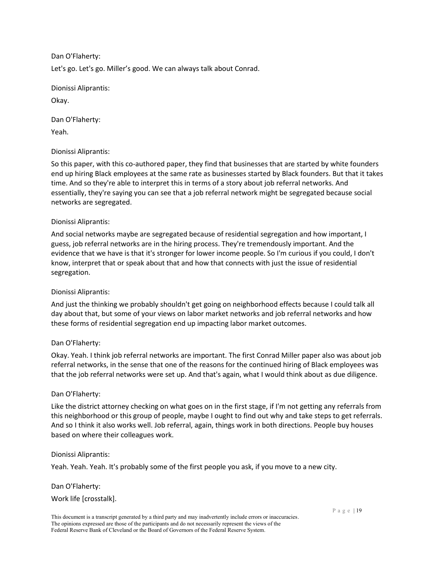Dan O'Flaherty: Let's go. Let's go. Miller's good. We can always talk about Conrad.

Dionissi Aliprantis: Okay.

Dan O'Flaherty:

Yeah.

# Dionissi Aliprantis:

So this paper, with this co-authored paper, they find that businesses that are started by white founders end up hiring Black employees at the same rate as businesses started by Black founders. But that it takes time. And so they're able to interpret this in terms of a story about job referral networks. And essentially, they're saying you can see that a job referral network might be segregated because social networks are segregated.

# Dionissi Aliprantis:

And social networks maybe are segregated because of residential segregation and how important, I guess, job referral networks are in the hiring process. They're tremendously important. And the evidence that we have is that it's stronger for lower income people. So I'm curious if you could, I don't know, interpret that or speak about that and how that connects with just the issue of residential segregation.

# Dionissi Aliprantis:

And just the thinking we probably shouldn't get going on neighborhood effects because I could talk all day about that, but some of your views on labor market networks and job referral networks and how these forms of residential segregation end up impacting labor market outcomes.

# Dan O'Flaherty:

Okay. Yeah. I think job referral networks are important. The first Conrad Miller paper also was about job referral networks, in the sense that one of the reasons for the continued hiring of Black employees was that the job referral networks were set up. And that's again, what I would think about as due diligence.

# Dan O'Flaherty:

Like the district attorney checking on what goes on in the first stage, if I'm not getting any referrals from this neighborhood or this group of people, maybe I ought to find out why and take steps to get referrals. And so I think it also works well. Job referral, again, things work in both directions. People buy houses based on where their colleagues work.

# Dionissi Aliprantis:

Yeah. Yeah. Yeah. It's probably some of the first people you ask, if you move to a new city.

# Dan O'Flaherty: Work life [crosstalk].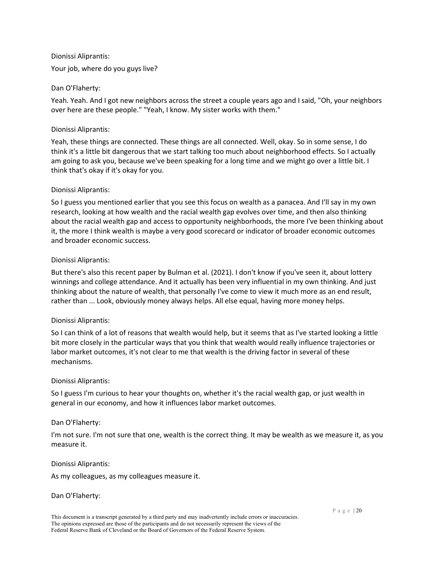Dionissi Aliprantis: Your job, where do you guys live?

## Dan O'Flaherty:

Yeah. Yeah. And I got new neighbors across the street a couple years ago and I said, "Oh, your neighbors over here are these people." "Yeah, I know. My sister works with them."

## Dionissi Aliprantis:

Yeah, these things are connected. These things are all connected. Well, okay. So in some sense, I do think it's a little bit dangerous that we start talking too much about neighborhood effects. So I actually am going to ask you, because we've been speaking for a long time and we might go over a little bit. I think that's okay if it's okay for you.

## Dionissi Aliprantis:

So I guess you mentioned earlier that you see this focus on wealth as a panacea. And I'll say in my own research, looking at how wealth and the racial wealth gap evolves over time, and then also thinking about the racial wealth gap and access to opportunity neighborhoods, the more I've been thinking about it, the more I think wealth is maybe a very good scorecard or indicator of broader economic outcomes and broader economic success.

## Dionissi Aliprantis:

But there's also this recent paper by Bulman et al. (2021). I don't know if you've seen it, about lottery winnings and college attendance. And it actually has been very influential in my own thinking. And just thinking about the nature of wealth, that personally I've come to view it much more as an end result, rather than ... Look, obviously money always helps. All else equal, having more money helps.

# Dionissi Aliprantis:

So I can think of a lot of reasons that wealth would help, but it seems that as I've started looking a little bit more closely in the particular ways that you think that wealth would really influence trajectories or labor market outcomes, it's not clear to me that wealth is the driving factor in several of these mechanisms.

## Dionissi Aliprantis:

So I guess I'm curious to hear your thoughts on, whether it's the racial wealth gap, or just wealth in general in our economy, and how it influences labor market outcomes.

## Dan O'Flaherty:

I'm not sure. I'm not sure that one, wealth is the correct thing. It may be wealth as we measure it, as you measure it.

## Dionissi Aliprantis:

As my colleagues, as my colleagues measure it.

## Dan O'Flaherty: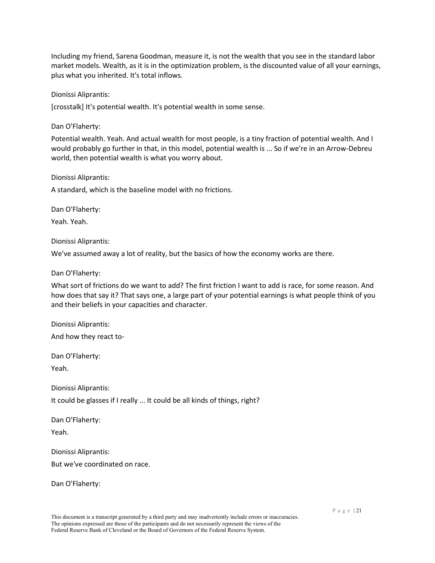Including my friend, Sarena Goodman, measure it, is not the wealth that you see in the standard labor market models. Wealth, as it is in the optimization problem, is the discounted value of all your earnings, plus what you inherited. It's total inflows.

Dionissi Aliprantis:

[crosstalk] It's potential wealth. It's potential wealth in some sense.

Dan O'Flaherty:

Potential wealth. Yeah. And actual wealth for most people, is a tiny fraction of potential wealth. And I would probably go further in that, in this model, potential wealth is ... So if we're in an Arrow-Debreu world, then potential wealth is what you worry about.

Dionissi Aliprantis:

A standard, which is the baseline model with no frictions.

Dan O'Flaherty: Yeah. Yeah.

Dionissi Aliprantis:

We've assumed away a lot of reality, but the basics of how the economy works are there.

Dan O'Flaherty:

What sort of frictions do we want to add? The first friction I want to add is race, for some reason. And how does that say it? That says one, a large part of your potential earnings is what people think of you and their beliefs in your capacities and character.

Dionissi Aliprantis: And how they react to-

Dan O'Flaherty: Yeah.

Dionissi Aliprantis:

It could be glasses if I really ... It could be all kinds of things, right?

Dan O'Flaherty: Yeah.

Dionissi Aliprantis: But we've coordinated on race.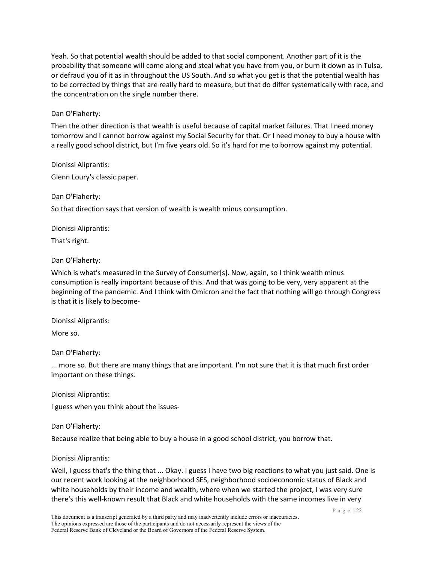Yeah. So that potential wealth should be added to that social component. Another part of it is the probability that someone will come along and steal what you have from you, or burn it down as in Tulsa, or defraud you of it as in throughout the US South. And so what you get is that the potential wealth has to be corrected by things that are really hard to measure, but that do differ systematically with race, and the concentration on the single number there.

## Dan O'Flaherty:

Then the other direction is that wealth is useful because of capital market failures. That I need money tomorrow and I cannot borrow against my Social Security for that. Or I need money to buy a house with a really good school district, but I'm five years old. So it's hard for me to borrow against my potential.

Dionissi Aliprantis: Glenn Loury's classic paper.

Dan O'Flaherty:

So that direction says that version of wealth is wealth minus consumption.

Dionissi Aliprantis:

That's right.

## Dan O'Flaherty:

Which is what's measured in the Survey of Consumer[s]. Now, again, so I think wealth minus consumption is really important because of this. And that was going to be very, very apparent at the beginning of the pandemic. And I think with Omicron and the fact that nothing will go through Congress is that it is likely to become-

Dionissi Aliprantis:

More so.

Dan O'Flaherty:

... more so. But there are many things that are important. I'm not sure that it is that much first order important on these things.

Dionissi Aliprantis:

I guess when you think about the issues-

Dan O'Flaherty:

Because realize that being able to buy a house in a good school district, you borrow that.

## Dionissi Aliprantis:

Well, I guess that's the thing that ... Okay. I guess I have two big reactions to what you just said. One is our recent work looking at the neighborhood SES, neighborhood socioeconomic status of Black and white households by their income and wealth, where when we started the project, I was very sure there's this well-known result that Black and white households with the same incomes live in very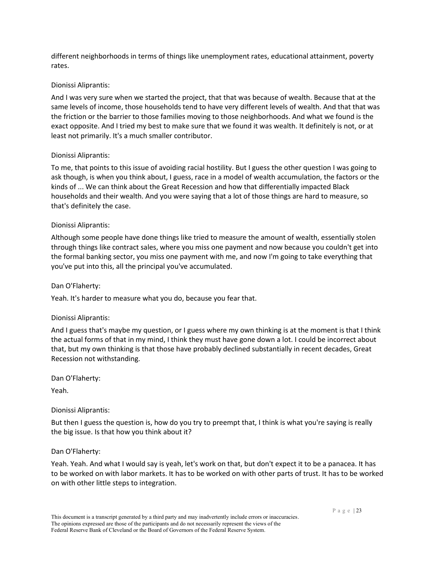different neighborhoods in terms of things like unemployment rates, educational attainment, poverty rates.

## Dionissi Aliprantis:

And I was very sure when we started the project, that that was because of wealth. Because that at the same levels of income, those households tend to have very different levels of wealth. And that that was the friction or the barrier to those families moving to those neighborhoods. And what we found is the exact opposite. And I tried my best to make sure that we found it was wealth. It definitely is not, or at least not primarily. It's a much smaller contributor.

## Dionissi Aliprantis:

To me, that points to this issue of avoiding racial hostility. But I guess the other question I was going to ask though, is when you think about, I guess, race in a model of wealth accumulation, the factors or the kinds of ... We can think about the Great Recession and how that differentially impacted Black households and their wealth. And you were saying that a lot of those things are hard to measure, so that's definitely the case.

## Dionissi Aliprantis:

Although some people have done things like tried to measure the amount of wealth, essentially stolen through things like contract sales, where you miss one payment and now because you couldn't get into the formal banking sector, you miss one payment with me, and now I'm going to take everything that you've put into this, all the principal you've accumulated.

## Dan O'Flaherty:

Yeah. It's harder to measure what you do, because you fear that.

## Dionissi Aliprantis:

And I guess that's maybe my question, or I guess where my own thinking is at the moment is that I think the actual forms of that in my mind, I think they must have gone down a lot. I could be incorrect about that, but my own thinking is that those have probably declined substantially in recent decades, Great Recession not withstanding.

Dan O'Flaherty:

Yeah.

## Dionissi Aliprantis:

But then I guess the question is, how do you try to preempt that, I think is what you're saying is really the big issue. Is that how you think about it?

#### Dan O'Flaherty:

Yeah. Yeah. And what I would say is yeah, let's work on that, but don't expect it to be a panacea. It has to be worked on with labor markets. It has to be worked on with other parts of trust. It has to be worked on with other little steps to integration.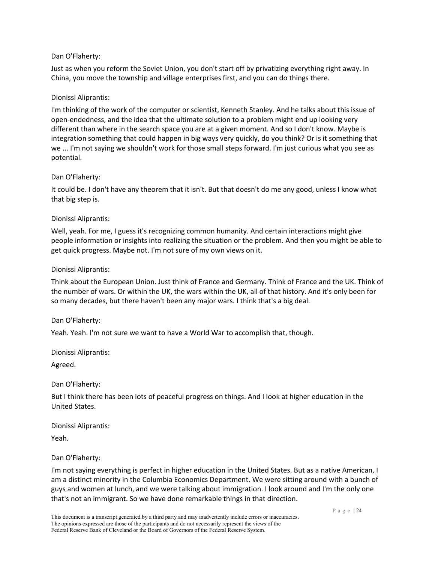Just as when you reform the Soviet Union, you don't start off by privatizing everything right away. In China, you move the township and village enterprises first, and you can do things there.

## Dionissi Aliprantis:

I'm thinking of the work of the computer or scientist, Kenneth Stanley. And he talks about this issue of open-endedness, and the idea that the ultimate solution to a problem might end up looking very different than where in the search space you are at a given moment. And so I don't know. Maybe is integration something that could happen in big ways very quickly, do you think? Or is it something that we ... I'm not saying we shouldn't work for those small steps forward. I'm just curious what you see as potential.

## Dan O'Flaherty:

It could be. I don't have any theorem that it isn't. But that doesn't do me any good, unless I know what that big step is.

## Dionissi Aliprantis:

Well, yeah. For me, I guess it's recognizing common humanity. And certain interactions might give people information or insights into realizing the situation or the problem. And then you might be able to get quick progress. Maybe not. I'm not sure of my own views on it.

## Dionissi Aliprantis:

Think about the European Union. Just think of France and Germany. Think of France and the UK. Think of the number of wars. Or within the UK, the wars within the UK, all of that history. And it's only been for so many decades, but there haven't been any major wars. I think that's a big deal.

## Dan O'Flaherty:

Yeah. Yeah. I'm not sure we want to have a World War to accomplish that, though.

Dionissi Aliprantis:

Agreed.

Dan O'Flaherty:

But I think there has been lots of peaceful progress on things. And I look at higher education in the United States.

Dionissi Aliprantis:

Yeah.

# Dan O'Flaherty:

I'm not saying everything is perfect in higher education in the United States. But as a native American, I am a distinct minority in the Columbia Economics Department. We were sitting around with a bunch of guys and women at lunch, and we were talking about immigration. I look around and I'm the only one that's not an immigrant. So we have done remarkable things in that direction.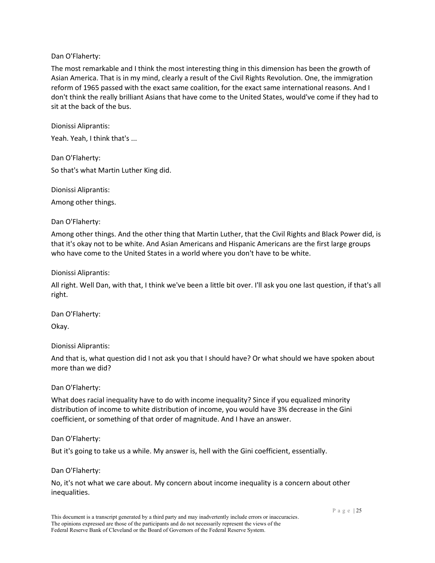The most remarkable and I think the most interesting thing in this dimension has been the growth of Asian America. That is in my mind, clearly a result of the Civil Rights Revolution. One, the immigration reform of 1965 passed with the exact same coalition, for the exact same international reasons. And I don't think the really brilliant Asians that have come to the United States, would've come if they had to sit at the back of the bus.

Dionissi Aliprantis:

Yeah. Yeah, I think that's ...

Dan O'Flaherty: So that's what Martin Luther King did.

Dionissi Aliprantis: Among other things.

## Dan O'Flaherty:

Among other things. And the other thing that Martin Luther, that the Civil Rights and Black Power did, is that it's okay not to be white. And Asian Americans and Hispanic Americans are the first large groups who have come to the United States in a world where you don't have to be white.

### Dionissi Aliprantis:

All right. Well Dan, with that, I think we've been a little bit over. I'll ask you one last question, if that's all right.

Dan O'Flaherty: Okay.

## Dionissi Aliprantis:

And that is, what question did I not ask you that I should have? Or what should we have spoken about more than we did?

## Dan O'Flaherty:

What does racial inequality have to do with income inequality? Since if you equalized minority distribution of income to white distribution of income, you would have 3% decrease in the Gini coefficient, or something of that order of magnitude. And I have an answer.

#### Dan O'Flaherty:

But it's going to take us a while. My answer is, hell with the Gini coefficient, essentially.

#### Dan O'Flaherty:

No, it's not what we care about. My concern about income inequality is a concern about other inequalities.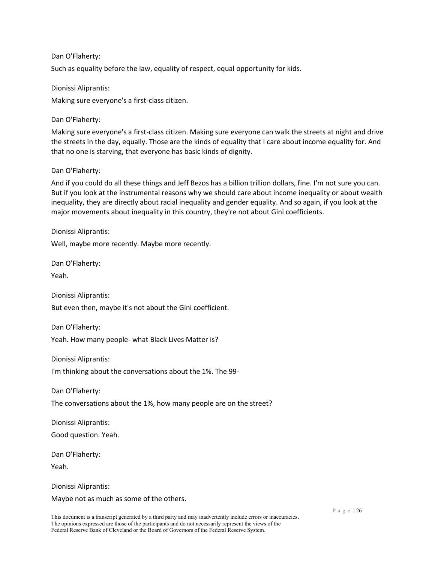Such as equality before the law, equality of respect, equal opportunity for kids.

Dionissi Aliprantis: Making sure everyone's a first-class citizen.

Dan O'Flaherty:

Making sure everyone's a first-class citizen. Making sure everyone can walk the streets at night and drive the streets in the day, equally. Those are the kinds of equality that I care about income equality for. And that no one is starving, that everyone has basic kinds of dignity.

Dan O'Flaherty:

And if you could do all these things and Jeff Bezos has a billion trillion dollars, fine. I'm not sure you can. But if you look at the instrumental reasons why we should care about income inequality or about wealth inequality, they are directly about racial inequality and gender equality. And so again, if you look at the major movements about inequality in this country, they're not about Gini coefficients.

Dionissi Aliprantis:

Well, maybe more recently. Maybe more recently.

Dan O'Flaherty:

Yeah.

Dionissi Aliprantis:

But even then, maybe it's not about the Gini coefficient.

Dan O'Flaherty: Yeah. How many people- what Black Lives Matter is?

Dionissi Aliprantis:

I'm thinking about the conversations about the 1%. The 99-

Dan O'Flaherty:

The conversations about the 1%, how many people are on the street?

Dionissi Aliprantis:

Good question. Yeah.

Dan O'Flaherty:

Yeah.

Dionissi Aliprantis: Maybe not as much as some of the others.